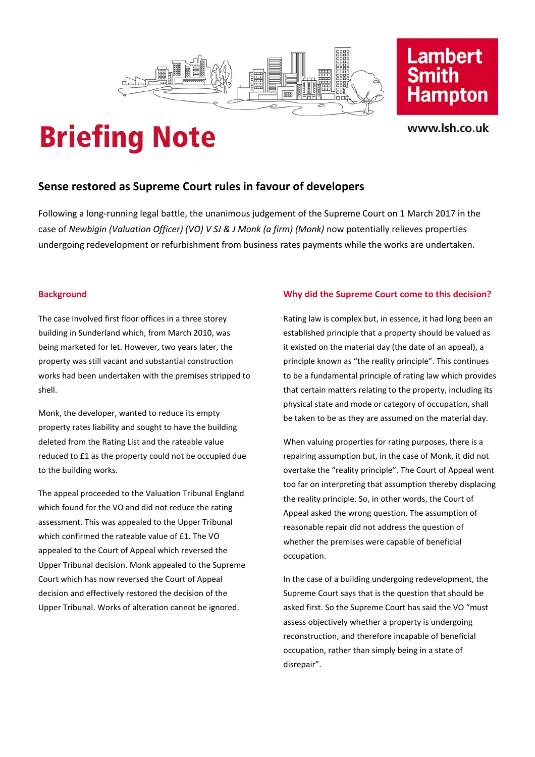



www.lsh.co.uk

## **Briefing Note**

## **Sense restored as Supreme Court rules in favour of developers**

Following a long-running legal battle, the unanimous judgement of the Supreme Court on 1 March 2017 in the case of *Newbigin (Valuation Officer) (VO) V SJ & J Monk (a firm) (Monk)* now potentially relieves properties undergoing redevelopment or refurbishment from business rates payments while the works are undertaken.

#### **Background**

The case involved first floor offices in a three storey building in Sunderland which, from March 2010, was being marketed for let. However, two years later, the property was still vacant and substantial construction works had been undertaken with the premises stripped to shell.

Monk, the developer, wanted to reduce its empty property rates liability and sought to have the building deleted from the Rating List and the rateable value reduced to £1 as the property could not be occupied due to the building works.

The appeal proceeded to the Valuation Tribunal England which found for the VO and did not reduce the rating assessment. This was appealed to the Upper Tribunal which confirmed the rateable value of £1. The VO appealed to the Court of Appeal which reversed the Upper Tribunal decision. Monk appealed to the Supreme Court which has now reversed the Court of Appeal decision and effectively restored the decision of the Upper Tribunal. Works of alteration cannot be ignored.

### **Why did the Supreme Court come to this decision?**

Rating law is complex but, in essence, it had long been an established principle that a property should be valued as it existed on the material day (the date of an appeal), a principle known as "the reality principle". This continues to be a fundamental principle of rating law which provides that certain matters relating to the property, including its physical state and mode or category of occupation, shall be taken to be as they are assumed on the material day.

When valuing properties for rating purposes, there is a repairing assumption but, in the case of Monk, it did not overtake the "reality principle". The Court of Appeal went too far on interpreting that assumption thereby displacing the reality principle. So, in other words, the Court of Appeal asked the wrong question. The assumption of reasonable repair did not address the question of whether the premises were capable of beneficial occupation.

In the case of a building undergoing redevelopment, the Supreme Court says that is the question that should be asked first. So the Supreme Court has said the VO "must assess objectively whether a property is undergoing reconstruction, and therefore incapable of beneficial occupation, rather than simply being in a state of disrepair".